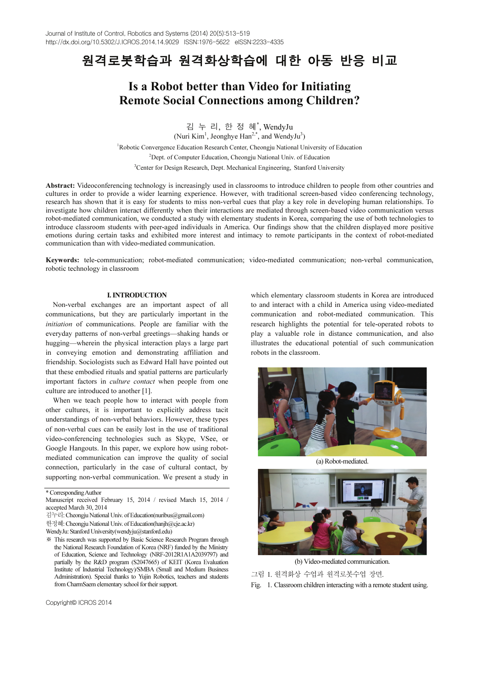# 원격로봇학습과 원격화상학습에 대한 아동 반응 비교

# Is a Robot better than Video for Initiating Remote Social Connections among Children?

<sup>김</sup> <sup>누</sup> <sup>리</sup>, <sup>한</sup> <sup>정</sup> <sup>혜</sup>\* , WendyJu

(Nuri Kim<sup>1</sup>, Jeonghye Han<sup>2,\*</sup>, and WendyJu<sup>3</sup>)

Robotic Convergence Education Research Center, Cheongju National University of Education

<sup>2</sup> Dept. of Computer Education, Cheongju National Univ. of Education

<sup>3</sup> Center for Design Research, Dept. Mechanical Engineering, Stanford University

Abstract: Videoconferencing technology is increasingly used in classrooms to introduce children to people from other countries and cultures in order to provide a wider learning experience. However, with traditional screen-based video conferencing technology, research has shown that it is easy for students to miss non-verbal cues that play a key role in developing human relationships. To investigate how children interact differently when their interactions are mediated through screen-based video communication versus robot-mediated communication, we conducted a study with elementary students in Korea, comparing the use of both technologies to introduce classroom students with peer-aged individuals in America. Our findings show that the children displayed more positive emotions during certain tasks and exhibited more interest and intimacy to remote participants in the context of robot-mediated communication than with video-mediated communication.

Keywords: tele-communication; robot-mediated communication; video-mediated communication; non-verbal communication, robotic technology in classroom

### I. INTRODUCTION

Non-verbal exchanges are an important aspect of all communications, but they are particularly important in the initiation of communications. People are familiar with the everyday patterns of non-verbal greetings—shaking hands or hugging—wherein the physical interaction plays a large part in conveying emotion and demonstrating affiliation and friendship. Sociologists such as Edward Hall have pointed out that these embodied rituals and spatial patterns are particularly important factors in culture contact when people from one culture are introduced to another [1].

When we teach people how to interact with people from other cultures, it is important to explicitly address tacit understandings of non-verbal behaviors. However, these types of non-verbal cues can be easily lost in the use of traditional video-conferencing technologies such as Skype, VSee, or Google Hangouts. In this paper, we explore how using robotmediated communication can improve the quality of social connection, particularly in the case of cultural contact, by supporting non-verbal communication. We present a study in

\* Corresponding Author

which elementary classroom students in Korea are introduced to and interact with a child in America using video-mediated communication and robot-mediated communication. This research highlights the potential for tele-operated robots to play a valuable role in distance communication, and also illustrates the educational potential of such communication robots in the classroom.



(a) Robot-mediated.



(b) Video-mediated communication.

그림 1. 원격화상 수업과 원격로봇수업 장면.

Fig. 1. Classroom children interacting with a remote student using.

Manuscript received February 15, 2014 / revised March 15, 2014 / accepted March 30, 2014

김누리: Cheongju National Univ. of Education(nuribus@gmail.com)

한정혜: Cheongju National Univ. of Education(hanjh@cje.ac.kr)

WendyJu: Stanford University(wendyju@stanford.edu)

<sup>※</sup> This research was supported by Basic Science Research Program through the National Research Foundation of Korea (NRF) funded by the Ministry of Education, Science and Technology (NRF-2012R1A1A2039797) and partially by the R&D program (S2047665) of KEIT (Korea Evaluation Institute of Industrial Technology)/SMBA (Small and Medium Business Administration). Special thanks to Yujin Robotics, teachers and students from CharmSaem elementary school for their support.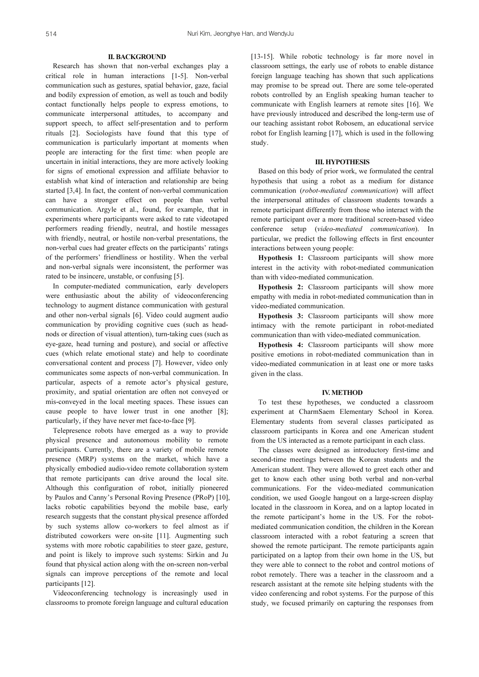## II. BACKGROUND

Research has shown that non-verbal exchanges play a critical role in human interactions [1-5]. Non-verbal communication such as gestures, spatial behavior, gaze, facial and bodily expression of emotion, as well as touch and bodily contact functionally helps people to express emotions, to communicate interpersonal attitudes, to accompany and support speech, to affect self-presentation and to perform rituals [2]. Sociologists have found that this type of communication is particularly important at moments when people are interacting for the first time: when people are uncertain in initial interactions, they are more actively looking for signs of emotional expression and affiliate behavior to establish what kind of interaction and relationship are being started [3,4]. In fact, the content of non-verbal communication can have a stronger effect on people than verbal communication. Argyle et al., found, for example, that in experiments where participants were asked to rate videotaped performers reading friendly, neutral, and hostile messages with friendly, neutral, or hostile non-verbal presentations, the non-verbal cues had greater effects on the participants' ratings of the performers' friendliness or hostility. When the verbal and non-verbal signals were inconsistent, the performer was rated to be insincere, unstable, or confusing [5].

In computer-mediated communication, early developers were enthusiastic about the ability of videoconferencing technology to augment distance communication with gestural and other non-verbal signals [6]. Video could augment audio communication by providing cognitive cues (such as headnods or direction of visual attention), turn-taking cues (such as eye-gaze, head turning and posture), and social or affective cues (which relate emotional state) and help to coordinate conversational content and process [7]. However, video only communicates some aspects of non-verbal communication. In particular, aspects of a remote actor's physical gesture, proximity, and spatial orientation are often not conveyed or mis-conveyed in the local meeting spaces. These issues can cause people to have lower trust in one another [8]; particularly, if they have never met face-to-face [9].

Telepresence robots have emerged as a way to provide physical presence and autonomous mobility to remote participants. Currently, there are a variety of mobile remote presence (MRP) systems on the market, which have a physically embodied audio-video remote collaboration system that remote participants can drive around the local site. Although this configuration of robot, initially pioneered by Paulos and Canny's Personal Roving Presence (PRoP) [10], lacks robotic capabilities beyond the mobile base, early research suggests that the constant physical presence afforded by such systems allow co-workers to feel almost as if distributed coworkers were on-site [11]. Augmenting such systems with more robotic capabilities to steer gaze, gesture, and point is likely to improve such systems: Sirkin and Ju found that physical action along with the on-screen non-verbal signals can improve perceptions of the remote and local participants [12].

Videoconferencing technology is increasingly used in classrooms to promote foreign language and cultural education [13-15]. While robotic technology is far more novel in classroom settings, the early use of robots to enable distance foreign language teaching has shown that such applications may promise to be spread out. There are some tele-operated robots controlled by an English speaking human teacher to communicate with English learners at remote sites [16]. We have previously introduced and described the long-term use of our teaching assistant robot Robosem, an educational service robot for English learning [17], which is used in the following study.

## III. HYPOTHESIS

Based on this body of prior work, we formulated the central hypothesis that using a robot as a medium for distance communication (robot-mediated communication) will affect the interpersonal attitudes of classroom students towards a remote participant differently from those who interact with the remote participant over a more traditional screen-based video conference setup (video-mediated communication). In particular, we predict the following effects in first encounter interactions between young people:

Hypothesis 1: Classroom participants will show more interest in the activity with robot-mediated communication than with video-mediated communication.

Hypothesis 2: Classroom participants will show more empathy with media in robot-mediated communication than in video-mediated communication.

Hypothesis 3: Classroom participants will show more intimacy with the remote participant in robot-mediated communication than with video-mediated communication.

Hypothesis 4: Classroom participants will show more positive emotions in robot-mediated communication than in video-mediated communication in at least one or more tasks given in the class.

#### IV. METHOD

To test these hypotheses, we conducted a classroom experiment at CharmSaem Elementary School in Korea. Elementary students from several classes participated as classroom participants in Korea and one American student from the US interacted as a remote participant in each class.

The classes were designed as introductory first-time and second-time meetings between the Korean students and the American student. They were allowed to greet each other and get to know each other using both verbal and non-verbal communications. For the video-mediated communication condition, we used Google hangout on a large-screen display located in the classroom in Korea, and on a laptop located in the remote participant's home in the US. For the robotmediated communication condition, the children in the Korean classroom interacted with a robot featuring a screen that showed the remote participant. The remote participants again participated on a laptop from their own home in the US, but they were able to connect to the robot and control motions of robot remotely. There was a teacher in the classroom and a research assistant at the remote site helping students with the video conferencing and robot systems. For the purpose of this study, we focused primarily on capturing the responses from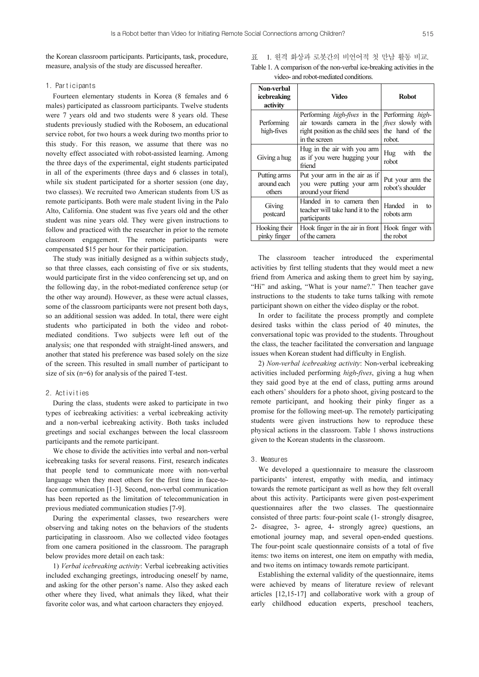the Korean classroom participants. Participants, task, procedure, measure, analysis of the study are discussed hereafter.

## 1. Participants

Fourteen elementary students in Korea (8 females and 6 males) participated as classroom participants. Twelve students were 7 years old and two students were 8 years old. These students previously studied with the Robosem, an educational service robot, for two hours a week during two months prior to this study. For this reason, we assume that there was no novelty effect associated with robot-assisted learning. Among the three days of the experimental, eight students participated in all of the experiments (three days and 6 classes in total), while six student participated for a shorter session (one day, two classes). We recruited two American students from US as remote participants. Both were male student living in the Palo Alto, California. One student was five years old and the other student was nine years old. They were given instructions to follow and practiced with the researcher in prior to the remote classroom engagement. The remote participants were compensated \$15 per hour for their participation.

The study was initially designed as a within subjects study, so that three classes, each consisting of five or six students, would participate first in the video conferencing set up, and on the following day, in the robot-mediated conference setup (or the other way around). However, as these were actual classes, some of the classroom participants were not present both days, so an additional session was added. In total, there were eight students who participated in both the video and robotmediated conditions. Two subjects were left out of the analysis; one that responded with straight-lined answers, and another that stated his preference was based solely on the size of the screen. This resulted in small number of participant to size of six (n=6) for analysis of the paired T-test.

#### 2. Activities

During the class, students were asked to participate in two types of icebreaking activities: a verbal icebreaking activity and a non-verbal icebreaking activity. Both tasks included greetings and social exchanges between the local classroom participants and the remote participant.

We chose to divide the activities into verbal and non-verbal icebreaking tasks for several reasons. First, research indicates that people tend to communicate more with non-verbal language when they meet others for the first time in face-toface communication [1-3]. Second, non-verbal communication has been reported as the limitation of telecommunication in previous mediated communication studies [7-9].

During the experimental classes, two researchers were observing and taking notes on the behaviors of the students participating in classroom. Also we collected video footages from one camera positioned in the classroom. The paragraph below provides more detail on each task:

1) Verbal icebreaking activity: Verbal icebreaking activities included exchanging greetings, introducing oneself by name, and asking for the other person's name. Also they asked each other where they lived, what animals they liked, what their favorite color was, and what cartoon characters they enjoyed.

표 1. 원격 화상과 로봇간의 비언어적 첫 만남 활동 비교. Table 1. A comparison of the non-verbal ice-breaking activities in the video- and robot-mediated conditions.

| Non-verbal<br>icebreaking<br>activity | Video                                                                                                                                         | <b>Robot</b>                                          |  |  |  |
|---------------------------------------|-----------------------------------------------------------------------------------------------------------------------------------------------|-------------------------------------------------------|--|--|--|
| Performing<br>high-fives              | Performing <i>high-fives</i> in the Performing <i>high-</i><br>air towards camera in the<br>right position as the child sees<br>in the screen | <i>fives</i> slowly with<br>the hand of the<br>robot. |  |  |  |
| Giving a hug                          | Hug in the air with you arm<br>as if you were hugging your<br>friend                                                                          | Hug<br>with<br>the<br>robot                           |  |  |  |
| Putting arms<br>around each<br>others | Put your arm in the air as if<br>you were putting your arm<br>around your friend                                                              | Put your arm the<br>robot's shoulder                  |  |  |  |
| Giving<br>postcard                    | Handed in to camera then<br>teacher will take hand it to the<br>participants                                                                  | Handed in<br>tο<br>robots arm                         |  |  |  |
| Hooking their<br>pinky finger         | Hook finger in the air in front<br>of the camera                                                                                              | Hook finger with<br>the robot                         |  |  |  |

The classroom teacher introduced the experimental activities by first telling students that they would meet a new friend from America and asking them to greet him by saying, "Hi" and asking, "What is your name?." Then teacher gave instructions to the students to take turns talking with remote participant shown on either the video display or the robot.

In order to facilitate the process promptly and complete desired tasks within the class period of 40 minutes, the conversational topic was provided to the students. Throughout the class, the teacher facilitated the conversation and language issues when Korean student had difficulty in English.

2) Non-verbal icebreaking activity: Non-verbal icebreaking activities included performing high-fives, giving a hug when they said good bye at the end of class, putting arms around each others' shoulders for a photo shoot, giving postcard to the remote participant, and hooking their pinky finger as a promise for the following meet-up. The remotely participating students were given instructions how to reproduce these physical actions in the classroom. Table 1 shows instructions given to the Korean students in the classroom.

#### 3. Measures

We developed a questionnaire to measure the classroom participants' interest, empathy with media, and intimacy towards the remote participant as well as how they felt overall about this activity. Participants were given post-experiment questionnaires after the two classes. The questionnaire consisted of three parts: four-point scale (1- strongly disagree, 2- disagree, 3- agree, 4- strongly agree) questions, an emotional journey map, and several open-ended questions. The four-point scale questionnaire consists of a total of five items: two items on interest, one item on empathy with media, and two items on intimacy towards remote participant.

Establishing the external validity of the questionnaire, items were achieved by means of literature review of relevant articles [12,15-17] and collaborative work with a group of early childhood education experts, preschool teachers,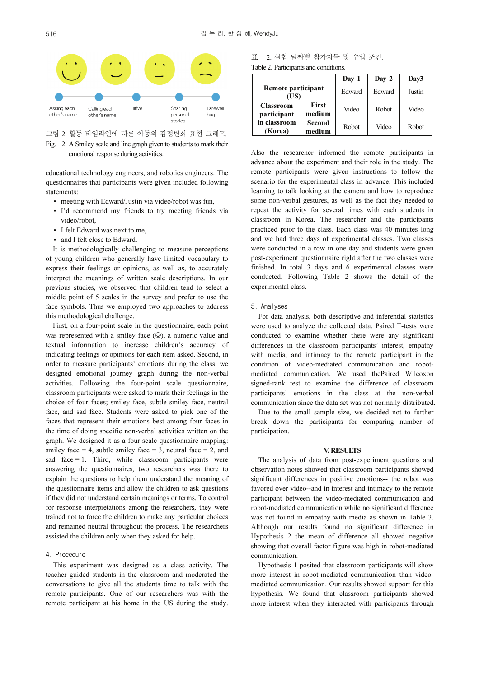

- 그림 2. 활동 타임라인에 따른 아동의 감정변화 표현 그래프.
- Fig. 2. A Smiley scale and line graph given to students to mark their emotional response during activities.

educational technology engineers, and robotics engineers. The questionnaires that participants were given included following statements:

- meeting with Edward/Justin via video/robot was fun,
- I'd recommend my friends to try meeting friends via video/robot,
- I felt Edward was next to me,
- and I felt close to Edward.

It is methodologically challenging to measure perceptions of young children who generally have limited vocabulary to express their feelings or opinions, as well as, to accurately interpret the meanings of written scale descriptions. In our previous studies, we observed that children tend to select a middle point of 5 scales in the survey and prefer to use the face symbols. Thus we employed two approaches to address this methodological challenge.

First, on a four-point scale in the questionnaire, each point was represented with a smiley face ( $\circledcirc$ ), a numeric value and textual information to increase children's accuracy of indicating feelings or opinions for each item asked. Second, in order to measure participants' emotions during the class, we designed emotional journey graph during the non-verbal activities. Following the four-point scale questionnaire, classroom participants were asked to mark their feelings in the choice of four faces; smiley face, subtle smiley face, neutral face, and sad face. Students were asked to pick one of the faces that represent their emotions best among four faces in the time of doing specific non-verbal activities written on the graph. We designed it as a four-scale questionnaire mapping: smiley face  $= 4$ , subtle smiley face  $= 3$ , neutral face  $= 2$ , and sad face  $= 1$ . Third, while classroom participants were answering the questionnaires, two researchers was there to explain the questions to help them understand the meaning of the questionnaire items and allow the children to ask questions if they did not understand certain meanings or terms. To control for response interpretations among the researchers, they were trained not to force the children to make any particular choices and remained neutral throughout the process. The researchers assisted the children only when they asked for help.

#### 4. Procedure

This experiment was designed as a class activity. The teacher guided students in the classroom and moderated the conversations to give all the students time to talk with the remote participants. One of our researchers was with the remote participant at his home in the US during the study.

|                                       |  |  |  | 표 2. 실험 날짜별 참가자들 및 수업 조건. |  |  |  |
|---------------------------------------|--|--|--|---------------------------|--|--|--|
| Table 2. Participants and conditions. |  |  |  |                           |  |  |  |

|                                                            |                        | Day 1  | Day 2  | Day3   |  |
|------------------------------------------------------------|------------------------|--------|--------|--------|--|
| Remote participant<br>(US)                                 |                        | Edward | Edward | Justin |  |
| <b>Classroom</b><br>participant<br>in classroom<br>(Korea) | <b>First</b><br>medium | Video  | Robot  | Video  |  |
|                                                            | Second<br>medium       | Robot  | Video  | Robot  |  |

Also the researcher informed the remote participants in advance about the experiment and their role in the study. The remote participants were given instructions to follow the scenario for the experimental class in advance. This included learning to talk looking at the camera and how to reproduce some non-verbal gestures, as well as the fact they needed to repeat the activity for several times with each students in classroom in Korea. The researcher and the participants practiced prior to the class. Each class was 40 minutes long and we had three days of experimental classes. Two classes were conducted in a row in one day and students were given post-experiment questionnaire right after the two classes were finished. In total 3 days and 6 experimental classes were conducted. Following Table 2 shows the detail of the experimental class.

#### 5. Analyses

For data analysis, both descriptive and inferential statistics were used to analyze the collected data. Paired T-tests were conducted to examine whether there were any significant differences in the classroom participants' interest, empathy with media, and intimacy to the remote participant in the condition of video-mediated communication and robotmediated communication. We used thePaired Wilcoxon signed-rank test to examine the difference of classroom participants' emotions in the class at the non-verbal communication since the data set was not normally distributed.

Due to the small sample size, we decided not to further break down the participants for comparing number of participation.

#### V. RESULTS

The analysis of data from post-experiment questions and observation notes showed that classroom participants showed significant differences in positive emotions-- the robot was favored over video--and in interest and intimacy to the remote participant between the video-mediated communication and robot-mediated communication while no significant difference was not found in empathy with media as shown in Table 3. Although our results found no significant difference in Hypothesis 2 the mean of difference all showed negative showing that overall factor figure was high in robot-mediated communication.

Hypothesis 1 posited that classroom participants will show more interest in robot-mediated communication than videomediated communication. Our results showed support for this hypothesis. We found that classroom participants showed more interest when they interacted with participants through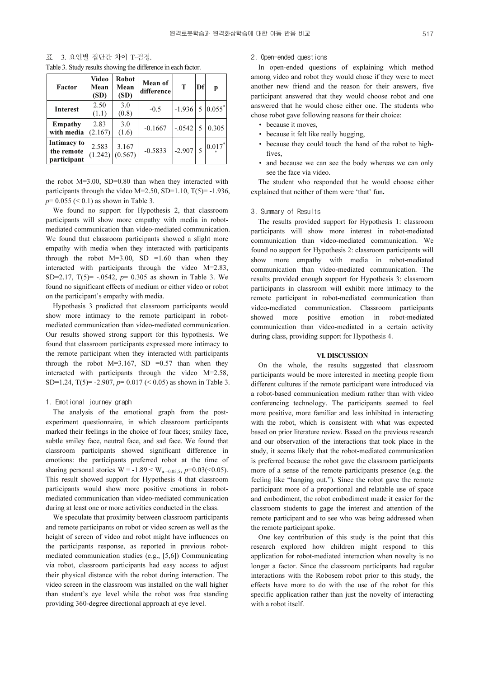표 3. 요인별 집단간 차이 T-검정.

| Table 3. Study results showing the difference in each factor. |  |  |
|---------------------------------------------------------------|--|--|
|                                                               |  |  |

| Factor                                   | Video<br>Mean<br>(SD) | <b>Robot</b><br>Mean<br>(SD) | Mean of<br>difference | T        | Df | р                    |
|------------------------------------------|-----------------------|------------------------------|-----------------------|----------|----|----------------------|
| <b>Interest</b>                          | 2.50<br>(1.1)         | 3.0<br>(0.8)                 | $-0.5$                | $-1.936$ | 5  | $0.055$ <sup>*</sup> |
| Empathy<br>with media                    | 2.83<br>(2.167)       | 3.0<br>(1.6)                 | $-0.1667$             | $-.0542$ | -5 | 0.305                |
| Intimacy to<br>the remote<br>participant | 2.583<br>(1.242)      | 3.167<br>(0.567)             | $-0.5833$             | $-2.907$ |    | $0.017$ <sup>*</sup> |

the robot M=3.00, SD=0.80 than when they interacted with participants through the video  $M=2.50$ , SD=1.10, T(5)=-1.936,  $p= 0.055 \leq 0.1$  as shown in Table 3.

We found no support for Hypothesis 2, that classroom participants will show more empathy with media in robotmediated communication than video-mediated communication. We found that classroom participants showed a slight more empathy with media when they interacted with participants through the robot  $M=3.00$ , SD =1.60 than when they interacted with participants through the video M=2.83, SD=2.17,  $T(5)$ = -.0542,  $p= 0.305$  as shown in Table 3. We found no significant effects of medium or either video or robot on the participant's empathy with media.

Hypothesis 3 predicted that classroom participants would show more intimacy to the remote participant in robotmediated communication than video-mediated communication. Our results showed strong support for this hypothesis. We found that classroom participants expressed more intimacy to the remote participant when they interacted with participants through the robot  $M=3.167$ , SD =0.57 than when they interacted with participants through the video M=2.58, SD=1.24, T(5)= -2.907,  $p=0.017$  (< 0.05) as shown in Table 3.

## 1. Emotional journey graph

The analysis of the emotional graph from the postexperiment questionnaire, in which classroom participants marked their feelings in the choice of four faces; smiley face, subtle smiley face, neutral face, and sad face. We found that classroom participants showed significant difference in emotions: the participants preferred robot at the time of sharing personal stories  $W = -1.89 < W_{\alpha=0.05,5}$ ,  $p=0.03$ (<0.05). This result showed support for Hypothesis 4 that classroom participants would show more positive emotions in robotmediated communication than video-mediated communication during at least one or more activities conducted in the class.

We speculate that proximity between classroom participants and remote participants on robot or video screen as well as the height of screen of video and robot might have influences on the participants response, as reported in previous robotmediated communication studies (e.g., [5,6]) Communicating via robot, classroom participants had easy access to adjust their physical distance with the robot during interaction. The video screen in the classroom was installed on the wall higher than student's eye level while the robot was free standing providing 360-degree directional approach at eye level.

## 2. Open-ended questions

In open-ended questions of explaining which method among video and robot they would chose if they were to meet another new friend and the reason for their answers, five participant answered that they would choose robot and one answered that he would chose either one. The students who chose robot gave following reasons for their choice:

- because it moves,
- because it felt like really hugging,
- because they could touch the hand of the robot to highfives,
- and because we can see the body whereas we can only see the face via video.

The student who responded that he would choose either explained that neither of them were 'that' fun.

#### 3. Summary of Results

The results provided support for Hypothesis 1: classroom participants will show more interest in robot-mediated communication than video-mediated communication. We found no support for Hypothesis 2: classroom participants will show more empathy with media in robot-mediated communication than video-mediated communication. The results provided enough support for Hypothesis 3: classroom participants in classroom will exhibit more intimacy to the remote participant in robot-mediated communication than video-mediated communication. Classroom participants showed more positive emotion in robot-mediated communication than video-mediated in a certain activity during class, providing support for Hypothesis 4.

#### VI. DISCUSSION

On the whole, the results suggested that classroom participants would be more interested in meeting people from different cultures if the remote participant were introduced via a robot-based communication medium rather than with video conferencing technology. The participants seemed to feel more positive, more familiar and less inhibited in interacting with the robot, which is consistent with what was expected based on prior literature review. Based on the previous research and our observation of the interactions that took place in the study, it seems likely that the robot-mediated communication is preferred because the robot gave the classroom participants more of a sense of the remote participants presence (e.g. the feeling like "hanging out."). Since the robot gave the remote participant more of a proportional and relatable use of space and embodiment, the robot embodiment made it easier for the classroom students to gage the interest and attention of the remote participant and to see who was being addressed when the remote participant spoke.

One key contribution of this study is the point that this research explored how children might respond to this application for robot-mediated interaction when novelty is no longer a factor. Since the classroom participants had regular interactions with the Robosem robot prior to this study, the effects have more to do with the use of the robot for this specific application rather than just the novelty of interacting with a robot itself.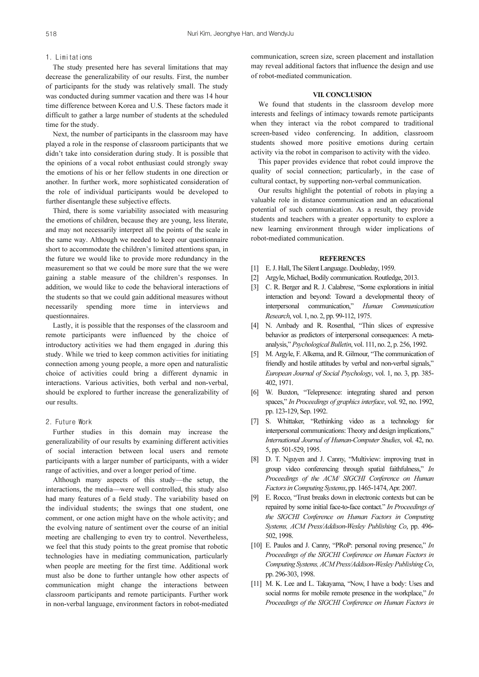#### 1. Limitations

The study presented here has several limitations that may decrease the generalizability of our results. First, the number of participants for the study was relatively small. The study was conducted during summer vacation and there was 14 hour time difference between Korea and U.S. These factors made it difficult to gather a large number of students at the scheduled time for the study.

Next, the number of participants in the classroom may have played a role in the response of classroom participants that we didn't take into consideration during study. It is possible that the opinions of a vocal robot enthusiast could strongly sway the emotions of his or her fellow students in one direction or another. In further work, more sophisticated consideration of the role of individual participants would be developed to further disentangle these subjective effects.

Third, there is some variability associated with measuring the emotions of children, because they are young, less literate, and may not necessarily interpret all the points of the scale in the same way. Although we needed to keep our questionnaire short to accommodate the children's limited attentions span, in the future we would like to provide more redundancy in the measurement so that we could be more sure that the we were gaining a stable measure of the children's responses. In addition, we would like to code the behavioral interactions of the students so that we could gain additional measures without necessarily spending more time in interviews and questionnaires.

Lastly, it is possible that the responses of the classroom and remote participants were influenced by the choice of introductory activities we had them engaged in .during this study. While we tried to keep common activities for initiating connection among young people, a more open and naturalistic choice of activities could bring a different dynamic in interactions. Various activities, both verbal and non-verbal, should be explored to further increase the generalizability of our results.

## 2. Future Work

Further studies in this domain may increase the generalizability of our results by examining different activities of social interaction between local users and remote participants with a larger number of participants, with a wider range of activities, and over a longer period of time.

Although many aspects of this study—the setup, the interactions, the media—were well controlled, this study also had many features of a field study. The variability based on the individual students; the swings that one student, one comment, or one action might have on the whole activity; and the evolving nature of sentiment over the course of an initial meeting are challenging to even try to control. Nevertheless, we feel that this study points to the great promise that robotic technologies have in mediating communication, particularly when people are meeting for the first time. Additional work must also be done to further untangle how other aspects of communication might change the interactions between classroom participants and remote participants. Further work in non-verbal language, environment factors in robot-mediated

communication, screen size, screen placement and installation may reveal additional factors that influence the design and use of robot-mediated communication.

## VII. CONCLUSION

We found that students in the classroom develop more interests and feelings of intimacy towards remote participants when they interact via the robot compared to traditional screen-based video conferencing. In addition, classroom students showed more positive emotions during certain activity via the robot in comparison to activity with the video.

This paper provides evidence that robot could improve the quality of social connection; particularly, in the case of cultural contact, by supporting non-verbal communication.

Our results highlight the potential of robots in playing a valuable role in distance communication and an educational potential of such communication. As a result, they provide students and teachers with a greater opportunity to explore a new learning environment through wider implications of robot-mediated communication.

## **REFERENCES**

- [1] E. J. Hall, The Silent Language. Doubleday, 1959.
- [2] Argyle, Michael, Bodily communication. Routledge, 2013.
- [3] C. R. Berger and R. J. Calabrese, "Some explorations in initial interaction and beyond: Toward a developmental theory of interpersonal communication," Human Communication Research, vol. 1, no. 2, pp. 99-112, 1975.
- [4] N. Ambady and R. Rosenthal, "Thin slices of expressive behavior as predictors of interpersonal consequences: A metaanalysis," Psychological Bulletin, vol. 111, no. 2, p. 256, 1992.
- [5] M. Argyle, F. Alkema, and R. Gilmour, "The communication of friendly and hostile attitudes by verbal and non-verbal signals," European Journal of Social Psychology, vol. 1, no. 3, pp. 385- 402, 1971.
- [6] W. Buxton, "Telepresence: integrating shared and person spaces," In Proceedings of graphics interface, vol. 92, no. 1992, pp. 123-129, Sep. 1992.
- [7] S. Whittaker, "Rethinking video as a technology for interpersonal communications: Theory and design implications," International Journal of Human-Computer Studies, vol. 42, no. 5, pp. 501-529, 1995.
- [8] D. T. Nguyen and J. Canny, "Multiview: improving trust in group video conferencing through spatial faithfulness," In Proceedings of the ACM/ SIGCHI Conference on Human Factors in Computing Systems, pp. 1465-1474, Apr. 2007.
- [9] E. Rocco, "Trust breaks down in electronic contexts but can be repaired by some initial face-to-face contact." In Proceedings of the SIGCHI Conference on Human Factors in Computing Systems, ACM Press/Addison-Wesley Publishing Co, pp. 496- 502, 1998.
- [10] E. Paulos and J. Canny, "PRoP: personal roving presence," In Proceedings of the SIGCHI Conference on Human Factors in Computing Systems, ACM Press/Addison-Wesley Publishing Co, pp. 296-303, 1998.
- [11] M. K. Lee and L. Takayama, "Now, I have a body: Uses and social norms for mobile remote presence in the workplace," In Proceedings of the SIGCHI Conference on Human Factors in